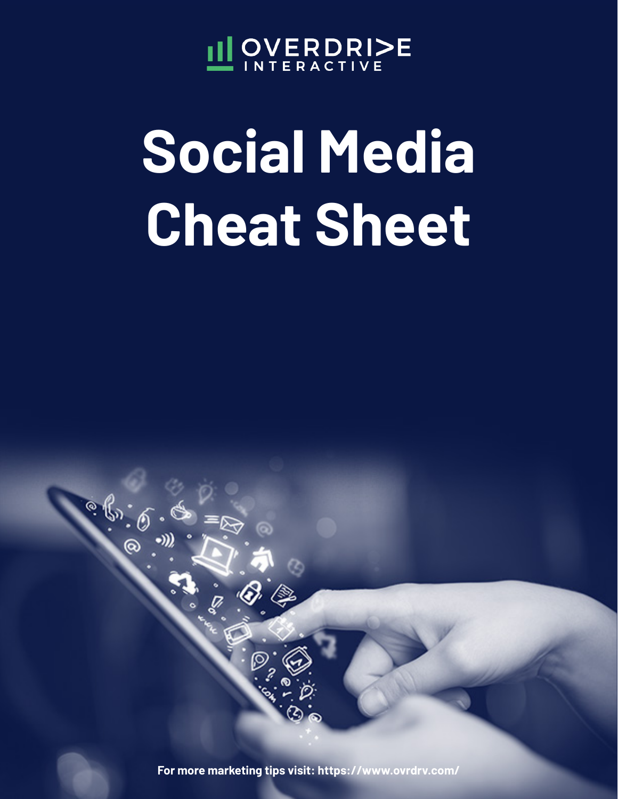

# **Social Media Cheat Sheet**



**For more marketing tips visit: https://www.ovrdrv.com/**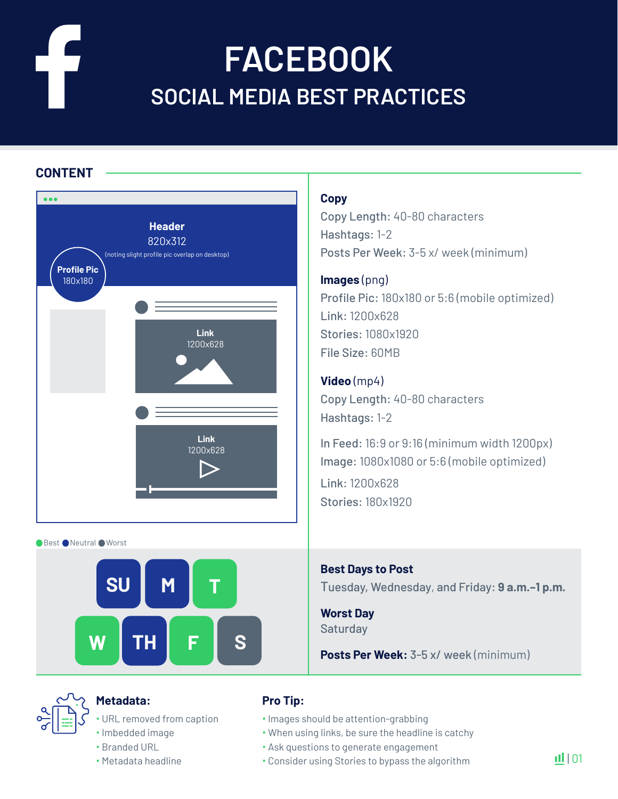### **FACEBOOK SOCIAL MEDIA BEST PRACTICES**

### **CONTENT**



● Best ● Neutral ● Worst



### **Metadata:**

- URL removed from caption
- · Imbedded image Branded URL
- 
- Metadata headline

### **Copy**

Copy Length: 40-80 characters Hashtags: 1-2 Posts Per Week: 3-5 x/ week (minimum)

**Images** (png) Profile Pic: 180x180 or 5:6 (mobile optimized) Link: 1200x628 Stories: 1080x1920 File Size: 60MB

### **Video** (mp4)

Copy Length: 40-80 characters Hashtags: 1-2

In Feed: 16:9 or 9:16 (minimum width 1200px) Image: 1080x1080 or 5:6 (mobile optimized)

Link: 1200x628 Stories: 180x1920

**Best Days to Post** Tuesday, Wednesday, and Friday: **9 a.m.–1 p.m.**

**Worst Day Saturday** 

**Posts Per Week:** 3-5 x/ week (minimum)

- $\cdot$  Images should be attention-grabbing
- When using links, be sure the headline is catchy
- Ask questions to generate engagement
- Consider using Stories to bypass the algorithm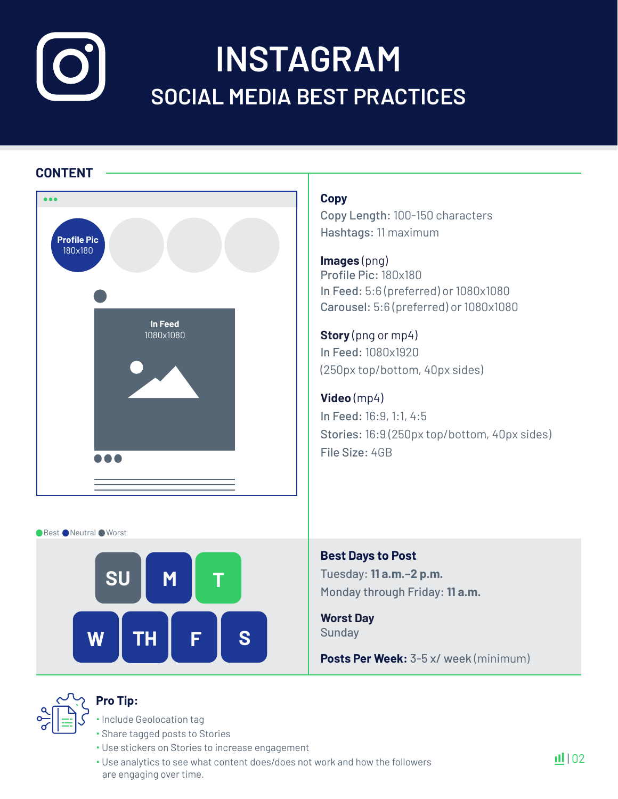# **INSTAGRAM SOCIAL MEDIA BEST PRACTICES**

### **CONTENT**



### **Copy**

Copy Length: 100-150 characters Hashtags: 11 maximum

**Images** (png) Profile Pic: 180x180 In Feed: 5:6 (preferred) or 1080x1080 Carousel: 5:6 (preferred) or 1080x1080

**Story** (png or mp4) In Feed: 1080x1920 (250px top/bottom, 40px sides)

**Video** (mp4) In Feed: 16:9, 1:1, 4:5 Stories: 16:9 (250px top/bottom, 40px sides) File Size: 4GB

Best Neutral Worst



**Best Days to Post** Tuesday: **11 a.m.–2 p.m.** Monday through Friday: **11 a.m.** 

**Worst Day Sunday** 

**Posts Per Week:** 3-5 x/ week (minimum)



### **Pro Tip:**

**· Include Geolocation tag** 

- Share tagged posts to Stories
- Use stickers on Stories to increase engagement
- Use analytics to see what content does/does not work and how the followers are engaging over time.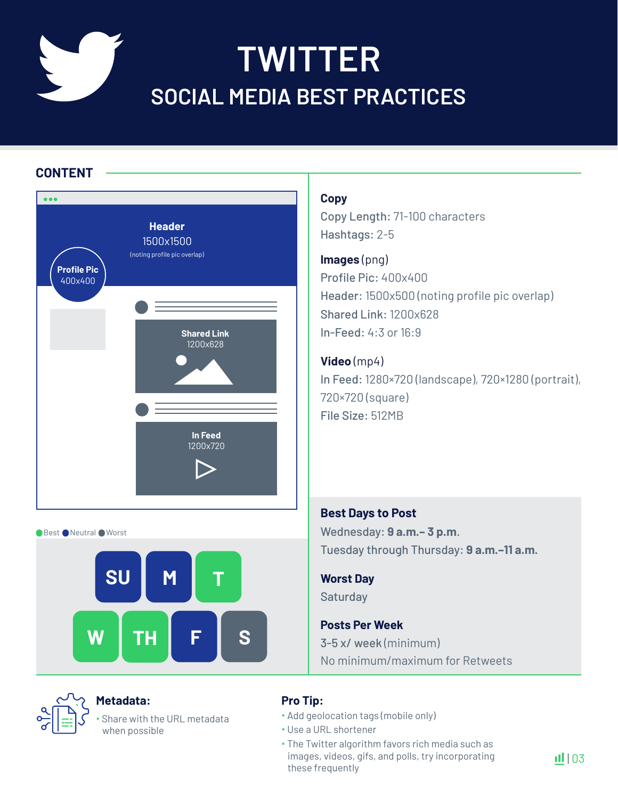### **TWITTER SOCIAL MEDIA BEST PRACTICES**

### **CONTENT**

| i o d                         |                                                            |
|-------------------------------|------------------------------------------------------------|
| <b>Profile Pic</b><br>400x400 | <b>Header</b><br>1500x1500<br>(noting profile pic overlap) |
|                               | <b>Shared Link</b><br>1200x628<br>In Feed<br>1200x720      |

● Best ● Neutral ● Worst





### **Metadata:**

 Share with the URL metadata when possible

### **Copy**

Copy Length: 71-100 characters Hashtags: 2-5

### **Images** (png)

Profile Pic: 400x400 Header: 1500x500 (noting profile pic overlap) Shared Link: 1200x628 In-Feed: 4:3 or 16:9

### **Video** (mp4)

In Feed: 1280×720 (landscape), 720×1280 (portrait), 720×720 (square) File Size: 512MB

### **Best Days to Post** Wednesday: **9 a.m.– 3 p.m**. Tuesday through Thursday: **9 a.m.–11 a.m.**

### **Worst Day Saturday**

**Posts Per Week**  3-5 x/ week (minimum) No minimum/maximum for Retweets

### **Pro Tip:**

Add geolocation tags (mobile only)

- Use a URL shortener
- The Twitter algorithm favors rich media such as images, videos, gifs, and polls, try incorporating these frequently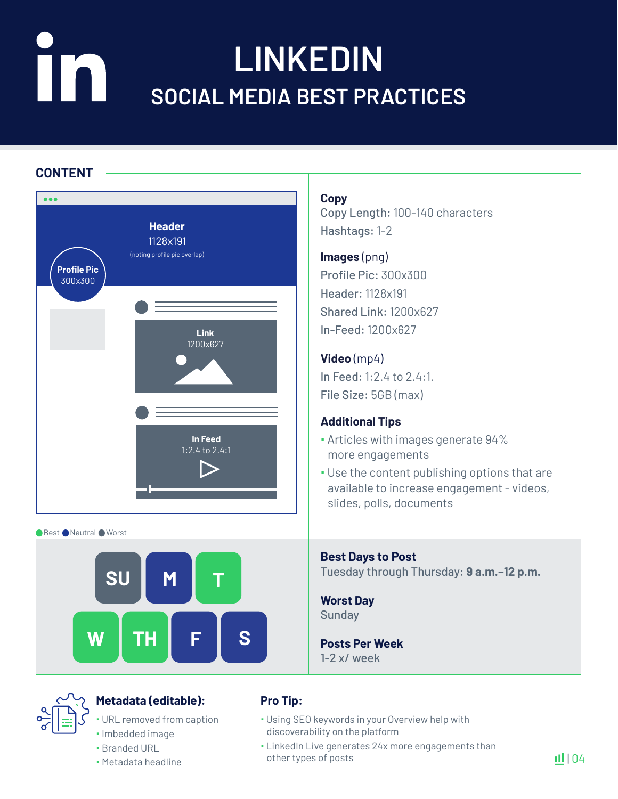### **LINKEDIN** IIN **SOCIAL MEDIA BEST PRACTICES**

### **CONTENT**



Best Neutral Worst



### **Metadata (editable):**

URL removed from caption

- · Imbedded image Branded URL
- 
- Metadata headline

### **Copy**

Copy Length: 100-140 characters Hashtags: 1-2

### **Images** (png)

Profile Pic: 300x300 Header: 1128x191 Shared Link: 1200x627 In-Feed: 1200x627

### **Video** (mp4)

In Feed: 1:2.4 to 2.4:1. File Size: 5GB (max)

### **Additional Tips**

- Articles with images generate 94% more engagements
- Use the content publishing options that are available to increase engagement - videos, slides, polls, documents

**Best Days to Post** Tuesday through Thursday: **9 a.m.–12 p.m.**

**Worst Day** Sunday

**Posts Per Week**  1-2 x/ week

- Using SEO keywords in your Overview help with discoverability on the platform
- LinkedIn Live generates 24x more engagements than other types of posts

 $|| || 04$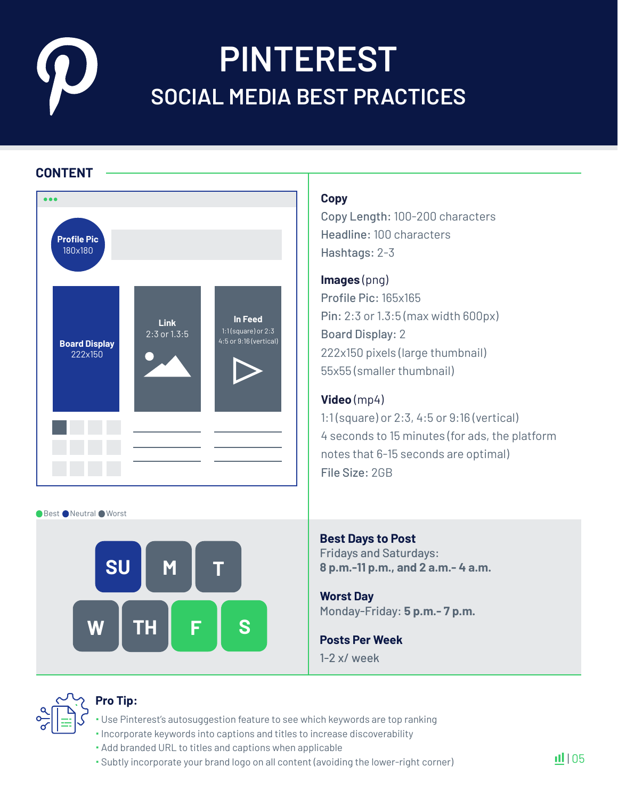## **PINTEREST SOCIAL MEDIA BEST PRACTICES**

### **CONTENT**



● Best ● Neutral ● Worst



### **Copy**

Copy Length: 100-200 characters Headline: 100 characters Hashtags: 2-3

### **Images** (png)

Profile Pic: 165x165 Pin: 2:3 or 1.3:5 (max width 600px) Board Display: 2 222x150 pixels (large thumbnail) 55x55 (smaller thumbnail)

### **Video** (mp4)

1:1 (square) or 2:3, 4:5 or 9:16 (vertical) 4 seconds to 15 minutes (for ads, the platform notes that 6-15 seconds are optimal) File Size: 2GB

**Best Days to Post** Fridays and Saturdays: **8 p.m.-11 p.m., and 2 a.m.- 4 a.m.**

**Worst Day** Monday-Friday: **5 p.m.- 7 p.m.**

**Posts Per Week** 1-2 x/ week



- Use Pinterest's autosuggestion feature to see which keywords are top ranking
- $\cdot$  Incorporate keywords into captions and titles to increase discoverability
- Add branded URL to titles and captions when applicable
- Subtly incorporate your brand logo on all content (avoiding the lower-right corner)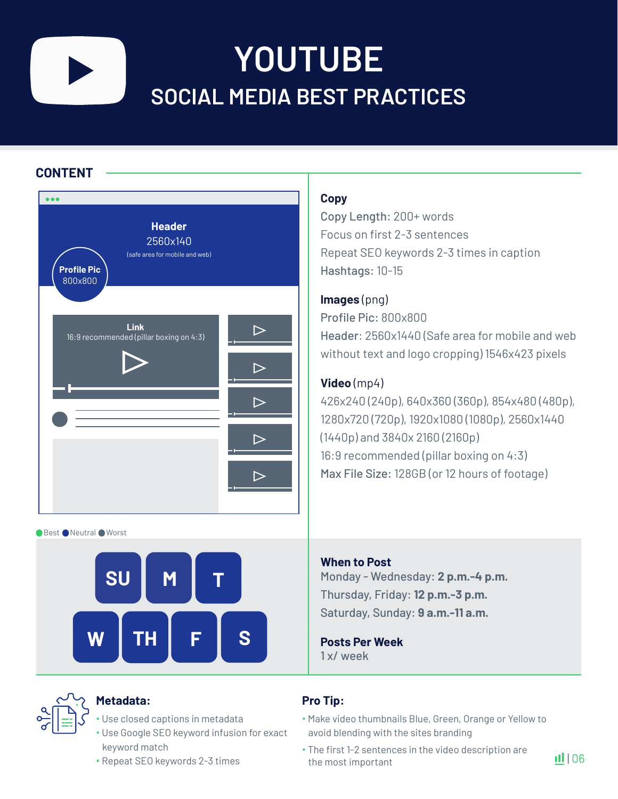

### **YOUTUBE SOCIAL MEDIA BEST PRACTICES**

### **CONTENT**

| <b>Header</b><br>2560x140<br>(safe area for mobile and web)<br><b>Profile Pic</b><br>800x800 |  |
|----------------------------------------------------------------------------------------------|--|
| <b>Link</b><br>16:9 recommended (pillar boxing on 4:3)                                       |  |
|                                                                                              |  |
|                                                                                              |  |

Best Neutral Worst





### **Metadata:**

- Use closed captions in metadata
- Use Google SEO keyword infusion for exact keyword match
- Repeat SEO keywords 2-3 times

### **Copy**

Copy Length: 200+ words Focus on first 2-3 sentences Repeat SEO keywords 2-3 times in caption Hashtags: 10-15

### **Images** (png)

Profile Pic: 800x800 Header: 2560x1440 (Safe area for mobile and web without text and logo cropping) 1546x423 pixels

### **Video** (mp4)

426x240 (240p), 640x360 (360p), 854x480 (480p), 1280x720 (720p), 1920x1080 (1080p), 2560x1440 (1440p) and 3840x 2160 (2160p) 16:9 recommended (pillar boxing on 4:3) Max File Size: 128GB (or 12 hours of footage)

### **When to Post** Monday - Wednesday: **2 p.m.-4 p.m.**  Thursday, Friday: **12 p.m.-3 p.m.**  Saturday, Sunday: **9 a.m.-11 a.m.**

**Posts Per Week**  1 x/ week

- Make video thumbnails Blue, Green, Orange or Yellow to avoid blending with the sites branding
- The first 1-2 sentences in the video description are the most important

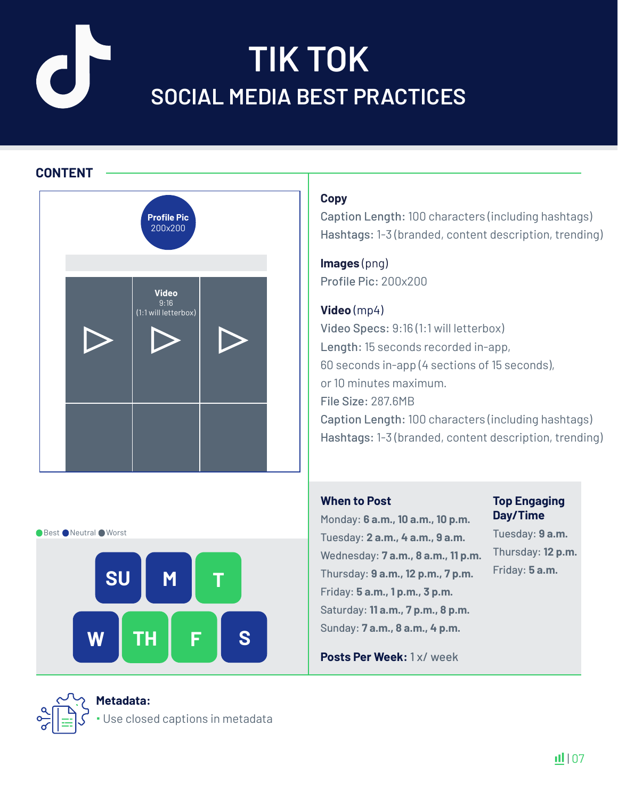# **TIK TOK SOCIAL MEDIA BEST PRACTICES**

### **CONTENT**



### **Copy**

Caption Length: 100 characters (including hashtags) Hashtags: 1-3 (branded, content description, trending)

**Images** (png) Profile Pic: 200x200

**Video** (mp4) Video Specs: 9:16 (1:1 will letterbox) Length: 15 seconds recorded in-app, 60 seconds in-app (4 sections of 15 seconds), or 10 minutes maximum. File Size: 287.6MB Caption Length: 100 characters (including hashtags) Hashtags: 1-3 (branded, content description, trending)

#### **When to Post**

Monday: **6 a.m., 10 a.m., 10 p.m.**  Tuesday: **2 a.m., 4 a.m., 9 a.m.** Wednesday: **7 a.m., 8 a.m., 11 p.m.** Friday: **5 a.m., 1 p.m., 3 p.m.**  Saturday: **11 a.m., 7 p.m., 8 p.m.**  Sunday: **7 a.m., 8 a.m., 4 p.m.** 

#### **Top Engaging Day/Time**

Tuesday: **9 a.m.**  Thursday: **12 p.m.**

Best Neutral Worst



**Posts Per Week:** 1 x/ week

### **Metadata:**

Use closed captions in metadata